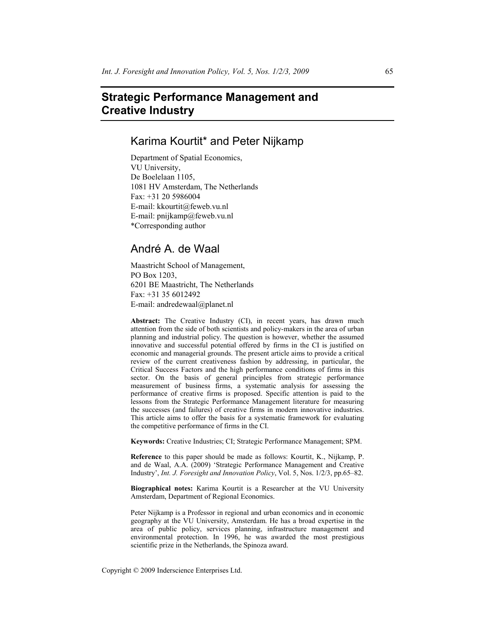## **Strategic Performance Management and Creative Industry**

# Karima Kourtit\* and Peter Nijkamp

Department of Spatial Economics, VU University, De Boelelaan 1105, 1081 HV Amsterdam, The Netherlands Fax: +31 20 5986004 E-mail: kkourtit@feweb.vu.nl E-mail: pnijkamp@feweb.vu.nl \*Corresponding author

## André A. de Waal

Maastricht School of Management, PO Box 1203, 6201 BE Maastricht, The Netherlands Fax: +31 35 6012492 E-mail: andredewaal@planet.nl

**Abstract:** The Creative Industry (CI), in recent years, has drawn much attention from the side of both scientists and policy-makers in the area of urban planning and industrial policy. The question is however, whether the assumed innovative and successful potential offered by firms in the CI is justified on economic and managerial grounds. The present article aims to provide a critical review of the current creativeness fashion by addressing, in particular, the Critical Success Factors and the high performance conditions of firms in this sector. On the basis of general principles from strategic performance measurement of business firms, a systematic analysis for assessing the performance of creative firms is proposed. Specific attention is paid to the lessons from the Strategic Performance Management literature for measuring the successes (and failures) of creative firms in modern innovative industries. This article aims to offer the basis for a systematic framework for evaluating the competitive performance of firms in the CI.

**Keywords:** Creative Industries; CI; Strategic Performance Management; SPM.

**Reference** to this paper should be made as follows: Kourtit, K., Nijkamp, P. and de Waal, A.A. (2009) 'Strategic Performance Management and Creative Industry', *Int. J. Foresight and Innovation Policy*, Vol. 5, Nos. 1/2/3, pp.65–82.

**Biographical notes:** Karima Kourtit is a Researcher at the VU University Amsterdam, Department of Regional Economics.

Peter Nijkamp is a Professor in regional and urban economics and in economic geography at the VU University, Amsterdam. He has a broad expertise in the area of public policy, services planning, infrastructure management and environmental protection. In 1996, he was awarded the most prestigious scientific prize in the Netherlands, the Spinoza award.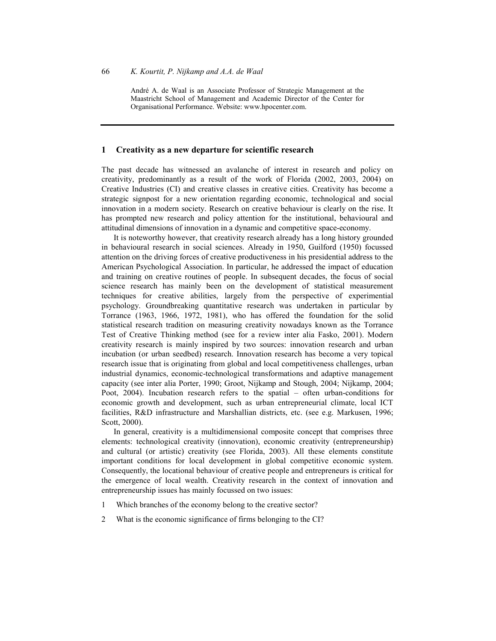André A. de Waal is an Associate Professor of Strategic Management at the Maastricht School of Management and Academic Director of the Center for Organisational Performance. Website: www.hpocenter.com.

## **1 Creativity as a new departure for scientific research**

The past decade has witnessed an avalanche of interest in research and policy on creativity, predominantly as a result of the work of Florida (2002, 2003, 2004) on Creative Industries (CI) and creative classes in creative cities. Creativity has become a strategic signpost for a new orientation regarding economic, technological and social innovation in a modern society. Research on creative behaviour is clearly on the rise. It has prompted new research and policy attention for the institutional, behavioural and attitudinal dimensions of innovation in a dynamic and competitive space-economy.

It is noteworthy however, that creativity research already has a long history grounded in behavioural research in social sciences. Already in 1950, Guilford (1950) focussed attention on the driving forces of creative productiveness in his presidential address to the American Psychological Association. In particular, he addressed the impact of education and training on creative routines of people. In subsequent decades, the focus of social science research has mainly been on the development of statistical measurement techniques for creative abilities, largely from the perspective of experimential psychology. Groundbreaking quantitative research was undertaken in particular by Torrance (1963, 1966, 1972, 1981), who has offered the foundation for the solid statistical research tradition on measuring creativity nowadays known as the Torrance Test of Creative Thinking method (see for a review inter alia Fasko, 2001). Modern creativity research is mainly inspired by two sources: innovation research and urban incubation (or urban seedbed) research. Innovation research has become a very topical research issue that is originating from global and local competitiveness challenges, urban industrial dynamics, economic-technological transformations and adaptive management capacity (see inter alia Porter, 1990; Groot, Nijkamp and Stough, 2004; Nijkamp, 2004; Poot, 2004). Incubation research refers to the spatial – often urban-conditions for economic growth and development, such as urban entrepreneurial climate, local ICT facilities, R&D infrastructure and Marshallian districts, etc. (see e.g. Markusen, 1996; Scott, 2000).

In general, creativity is a multidimensional composite concept that comprises three elements: technological creativity (innovation), economic creativity (entrepreneurship) and cultural (or artistic) creativity (see Florida, 2003). All these elements constitute important conditions for local development in global competitive economic system. Consequently, the locational behaviour of creative people and entrepreneurs is critical for the emergence of local wealth. Creativity research in the context of innovation and entrepreneurship issues has mainly focussed on two issues:

- 1 Which branches of the economy belong to the creative sector?
- 2 What is the economic significance of firms belonging to the CI?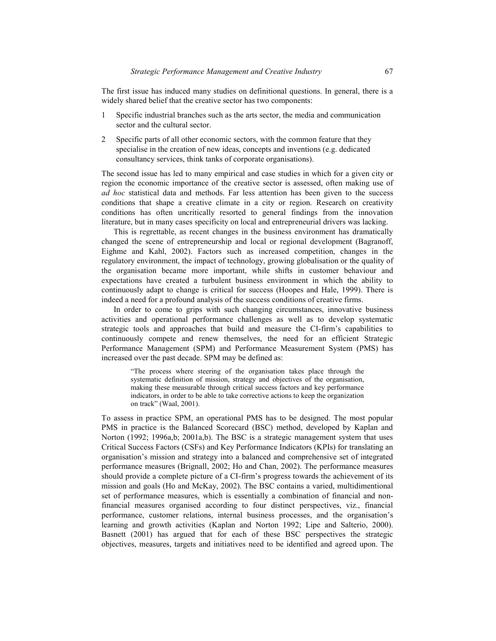The first issue has induced many studies on definitional questions. In general, there is a widely shared belief that the creative sector has two components:

- 1 Specific industrial branches such as the arts sector, the media and communication sector and the cultural sector.
- 2 Specific parts of all other economic sectors, with the common feature that they specialise in the creation of new ideas, concepts and inventions (e.g. dedicated consultancy services, think tanks of corporate organisations).

The second issue has led to many empirical and case studies in which for a given city or region the economic importance of the creative sector is assessed, often making use of *ad hoc* statistical data and methods. Far less attention has been given to the success conditions that shape a creative climate in a city or region. Research on creativity conditions has often uncritically resorted to general findings from the innovation literature, but in many cases specificity on local and entrepreneurial drivers was lacking.

This is regrettable, as recent changes in the business environment has dramatically changed the scene of entrepreneurship and local or regional development (Bagranoff, Eighme and Kahl, 2002). Factors such as increased competition, changes in the regulatory environment, the impact of technology, growing globalisation or the quality of the organisation became more important, while shifts in customer behaviour and expectations have created a turbulent business environment in which the ability to continuously adapt to change is critical for success (Hoopes and Hale, 1999). There is indeed a need for a profound analysis of the success conditions of creative firms.

In order to come to grips with such changing circumstances, innovative business activities and operational performance challenges as well as to develop systematic strategic tools and approaches that build and measure the CI-firm's capabilities to continuously compete and renew themselves, the need for an efficient Strategic Performance Management (SPM) and Performance Measurement System (PMS) has increased over the past decade. SPM may be defined as:

"The process where steering of the organisation takes place through the systematic definition of mission, strategy and objectives of the organisation, making these measurable through critical success factors and key performance indicators, in order to be able to take corrective actions to keep the organization on track" (Waal, 2001).

To assess in practice SPM, an operational PMS has to be designed. The most popular PMS in practice is the Balanced Scorecard (BSC) method, developed by Kaplan and Norton (1992; 1996a,b; 2001a,b). The BSC is a strategic management system that uses Critical Success Factors (CSFs) and Key Performance Indicators (KPIs) for translating an organisation's mission and strategy into a balanced and comprehensive set of integrated performance measures (Brignall, 2002; Ho and Chan, 2002). The performance measures should provide a complete picture of a CI-firm's progress towards the achievement of its mission and goals (Ho and McKay, 2002). The BSC contains a varied, multidimentional set of performance measures, which is essentially a combination of financial and nonfinancial measures organised according to four distinct perspectives, viz., financial performance, customer relations, internal business processes, and the organisation's learning and growth activities (Kaplan and Norton 1992; Lipe and Salterio, 2000). Basnett (2001) has argued that for each of these BSC perspectives the strategic objectives, measures, targets and initiatives need to be identified and agreed upon. The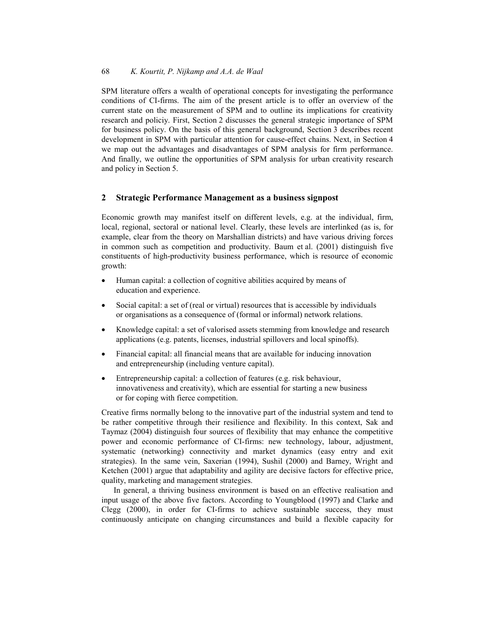SPM literature offers a wealth of operational concepts for investigating the performance conditions of CI-firms. The aim of the present article is to offer an overview of the current state on the measurement of SPM and to outline its implications for creativity research and policiy. First, Section 2 discusses the general strategic importance of SPM for business policy. On the basis of this general background, Section 3 describes recent development in SPM with particular attention for cause-effect chains. Next, in Section 4 we map out the advantages and disadvantages of SPM analysis for firm performance. And finally, we outline the opportunities of SPM analysis for urban creativity research and policy in Section 5.

## **2 Strategic Performance Management as a business signpost**

Economic growth may manifest itself on different levels, e.g. at the individual, firm, local, regional, sectoral or national level. Clearly, these levels are interlinked (as is, for example, clear from the theory on Marshallian districts) and have various driving forces in common such as competition and productivity. Baum et al. (2001) distinguish five constituents of high-productivity business performance, which is resource of economic growth:

- Human capital: a collection of cognitive abilities acquired by means of education and experience.
- Social capital: a set of (real or virtual) resources that is accessible by individuals or organisations as a consequence of (formal or informal) network relations.
- Knowledge capital: a set of valorised assets stemming from knowledge and research applications (e.g. patents, licenses, industrial spillovers and local spinoffs).
- Financial capital: all financial means that are available for inducing innovation and entrepreneurship (including venture capital).
- Entrepreneurship capital: a collection of features (e.g. risk behaviour, innovativeness and creativity), which are essential for starting a new business or for coping with fierce competition.

Creative firms normally belong to the innovative part of the industrial system and tend to be rather competitive through their resilience and flexibility. In this context, Sak and Taymaz (2004) distinguish four sources of flexibility that may enhance the competitive power and economic performance of CI-firms: new technology, labour, adjustment, systematic (networking) connectivity and market dynamics (easy entry and exit strategies). In the same vein, Saxerian (1994), Sushil (2000) and Barney, Wright and Ketchen (2001) argue that adaptability and agility are decisive factors for effective price, quality, marketing and management strategies.

In general, a thriving business environment is based on an effective realisation and input usage of the above five factors. According to Youngblood (1997) and Clarke and Clegg (2000), in order for CI-firms to achieve sustainable success, they must continuously anticipate on changing circumstances and build a flexible capacity for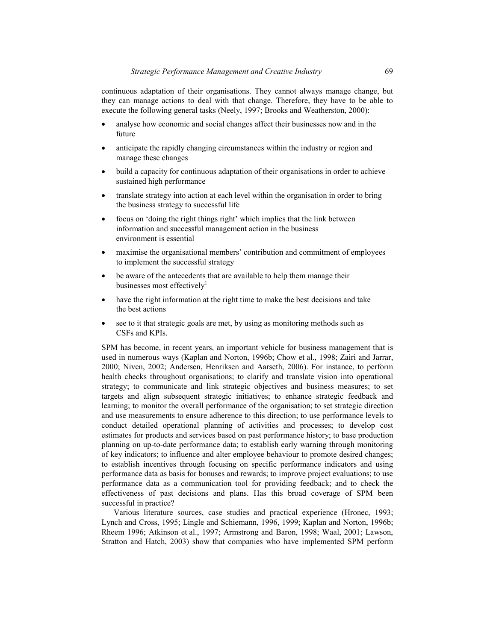continuous adaptation of their organisations. They cannot always manage change, but they can manage actions to deal with that change. Therefore, they have to be able to execute the following general tasks (Neely, 1997; Brooks and Weatherston, 2000):

- analyse how economic and social changes affect their businesses now and in the future
- anticipate the rapidly changing circumstances within the industry or region and manage these changes
- build a capacity for continuous adaptation of their organisations in order to achieve sustained high performance
- translate strategy into action at each level within the organisation in order to bring the business strategy to successful life
- focus on 'doing the right things right' which implies that the link between information and successful management action in the business environment is essential
- maximise the organisational members' contribution and commitment of employees to implement the successful strategy
- be aware of the antecedents that are available to help them manage their businesses most effectively $l$
- have the right information at the right time to make the best decisions and take the best actions
- see to it that strategic goals are met, by using as monitoring methods such as CSFs and KPIs.

SPM has become, in recent years, an important vehicle for business management that is used in numerous ways (Kaplan and Norton, 1996b; Chow et al., 1998; Zairi and Jarrar, 2000; Niven, 2002; Andersen, Henriksen and Aarseth, 2006). For instance, to perform health checks throughout organisations; to clarify and translate vision into operational strategy; to communicate and link strategic objectives and business measures; to set targets and align subsequent strategic initiatives; to enhance strategic feedback and learning; to monitor the overall performance of the organisation; to set strategic direction and use measurements to ensure adherence to this direction; to use performance levels to conduct detailed operational planning of activities and processes; to develop cost estimates for products and services based on past performance history; to base production planning on up-to-date performance data; to establish early warning through monitoring of key indicators; to influence and alter employee behaviour to promote desired changes; to establish incentives through focusing on specific performance indicators and using performance data as basis for bonuses and rewards; to improve project evaluations; to use performance data as a communication tool for providing feedback; and to check the effectiveness of past decisions and plans. Has this broad coverage of SPM been successful in practice?

Various literature sources, case studies and practical experience (Hronec, 1993; Lynch and Cross, 1995; Lingle and Schiemann, 1996, 1999; Kaplan and Norton, 1996b; Rheem 1996; Atkinson et al., 1997; Armstrong and Baron, 1998; Waal, 2001; Lawson, Stratton and Hatch, 2003) show that companies who have implemented SPM perform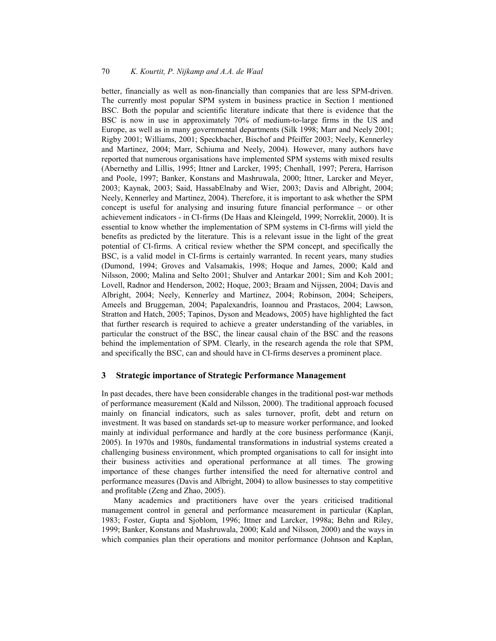better, financially as well as non-financially than companies that are less SPM-driven. The currently most popular SPM system in business practice in Section 1 mentioned BSC. Both the popular and scientific literature indicate that there is evidence that the BSC is now in use in approximately 70% of medium-to-large firms in the US and Europe, as well as in many governmental departments (Silk 1998; Marr and Neely 2001; Rigby 2001; Williams, 2001; Speckbacher, Bischof and Pfeiffer 2003; Neely, Kennerley and Martinez, 2004; Marr, Schiuma and Neely, 2004). However, many authors have reported that numerous organisations have implemented SPM systems with mixed results (Abernethy and Lillis, 1995; Ittner and Larcker, 1995; Chenhall, 1997; Perera, Harrison and Poole, 1997; Banker, Konstans and Mashruwala, 2000; Ittner, Larcker and Meyer, 2003; Kaynak, 2003; Said, HassabElnaby and Wier, 2003; Davis and Albright, 2004; Neely, Kennerley and Martinez, 2004). Therefore, it is important to ask whether the SPM concept is useful for analysing and insuring future financial performance – or other achievement indicators - in CI-firms (De Haas and Kleingeld, 1999; Norreklit, 2000). It is essential to know whether the implementation of SPM systems in CI-firms will yield the benefits as predicted by the literature. This is a relevant issue in the light of the great potential of CI-firms. A critical review whether the SPM concept, and specifically the BSC, is a valid model in CI-firms is certainly warranted. In recent years, many studies (Dumond, 1994; Groves and Valsamakis, 1998; Hoque and James, 2000; Kald and Nilsson, 2000; Malina and Selto 2001; Shulver and Antarkar 2001; Sim and Koh 2001; Lovell, Radnor and Henderson, 2002; Hoque, 2003; Braam and Nijssen, 2004; Davis and Albright, 2004; Neely, Kennerley and Martinez, 2004; Robinson, 2004; Scheipers, Ameels and Bruggeman, 2004; Papalexandris, Ioannou and Prastacos, 2004; Lawson, Stratton and Hatch, 2005; Tapinos, Dyson and Meadows, 2005) have highlighted the fact that further research is required to achieve a greater understanding of the variables, in particular the construct of the BSC, the linear causal chain of the BSC and the reasons behind the implementation of SPM. Clearly, in the research agenda the role that SPM, and specifically the BSC, can and should have in CI-firms deserves a prominent place.

### **3 Strategic importance of Strategic Performance Management**

In past decades, there have been considerable changes in the traditional post-war methods of performance measurement (Kald and Nilsson, 2000). The traditional approach focused mainly on financial indicators, such as sales turnover, profit, debt and return on investment. It was based on standards set-up to measure worker performance, and looked mainly at individual performance and hardly at the core business performance (Kanji, 2005). In 1970s and 1980s, fundamental transformations in industrial systems created a challenging business environment, which prompted organisations to call for insight into their business activities and operational performance at all times. The growing importance of these changes further intensified the need for alternative control and performance measures (Davis and Albright, 2004) to allow businesses to stay competitive and profitable (Zeng and Zhao, 2005).

Many academics and practitioners have over the years criticised traditional management control in general and performance measurement in particular (Kaplan, 1983; Foster, Gupta and Sjoblom, 1996; Ittner and Larcker, 1998a; Behn and Riley, 1999; Banker, Konstans and Mashruwala, 2000; Kald and Nilsson, 2000) and the ways in which companies plan their operations and monitor performance (Johnson and Kaplan,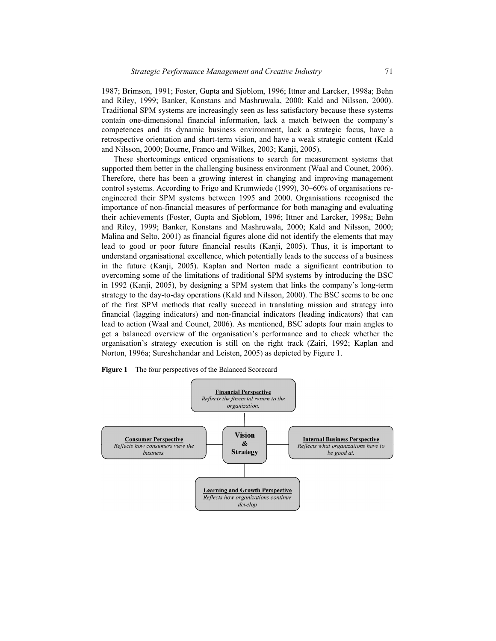1987; Brimson, 1991; Foster, Gupta and Sjoblom, 1996; Ittner and Larcker, 1998a; Behn and Riley, 1999; Banker, Konstans and Mashruwala, 2000; Kald and Nilsson, 2000). Traditional SPM systems are increasingly seen as less satisfactory because these systems contain one-dimensional financial information, lack a match between the company's competences and its dynamic business environment, lack a strategic focus, have a retrospective orientation and short-term vision, and have a weak strategic content (Kald and Nilsson, 2000; Bourne, Franco and Wilkes, 2003; Kanji, 2005).

These shortcomings enticed organisations to search for measurement systems that supported them better in the challenging business environment (Waal and Counet, 2006). Therefore, there has been a growing interest in changing and improving management control systems. According to Frigo and Krumwiede (1999), 30–60% of organisations reengineered their SPM systems between 1995 and 2000. Organisations recognised the importance of non-financial measures of performance for both managing and evaluating their achievements (Foster, Gupta and Sjoblom, 1996; Ittner and Larcker, 1998a; Behn and Riley, 1999; Banker, Konstans and Mashruwala, 2000; Kald and Nilsson, 2000; Malina and Selto, 2001) as financial figures alone did not identify the elements that may lead to good or poor future financial results (Kanji, 2005). Thus, it is important to understand organisational excellence, which potentially leads to the success of a business in the future (Kanji, 2005). Kaplan and Norton made a significant contribution to overcoming some of the limitations of traditional SPM systems by introducing the BSC in 1992 (Kanji, 2005), by designing a SPM system that links the company's long-term strategy to the day-to-day operations (Kald and Nilsson, 2000). The BSC seems to be one of the first SPM methods that really succeed in translating mission and strategy into financial (lagging indicators) and non-financial indicators (leading indicators) that can lead to action (Waal and Counet, 2006). As mentioned, BSC adopts four main angles to get a balanced overview of the organisation's performance and to check whether the organisation's strategy execution is still on the right track (Zairi, 1992; Kaplan and Norton, 1996a; Sureshchandar and Leisten, 2005) as depicted by Figure 1.

**Figure 1** The four perspectives of the Balanced Scorecard

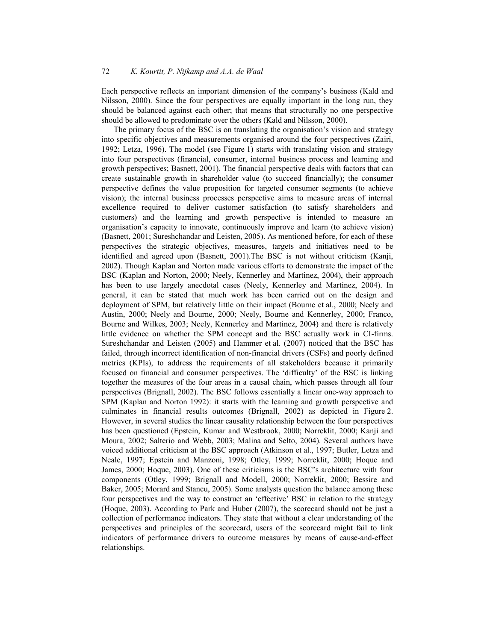Each perspective reflects an important dimension of the company's business (Kald and Nilsson, 2000). Since the four perspectives are equally important in the long run, they should be balanced against each other; that means that structurally no one perspective should be allowed to predominate over the others (Kald and Nilsson, 2000).

The primary focus of the BSC is on translating the organisation's vision and strategy into specific objectives and measurements organised around the four perspectives (Zairi, 1992; Letza, 1996). The model (see Figure 1) starts with translating vision and strategy into four perspectives (financial, consumer, internal business process and learning and growth perspectives; Basnett, 2001). The financial perspective deals with factors that can create sustainable growth in shareholder value (to succeed financially); the consumer perspective defines the value proposition for targeted consumer segments (to achieve vision); the internal business processes perspective aims to measure areas of internal excellence required to deliver customer satisfaction (to satisfy shareholders and customers) and the learning and growth perspective is intended to measure an organisation's capacity to innovate, continuously improve and learn (to achieve vision) (Basnett, 2001; Sureshchandar and Leisten, 2005). As mentioned before, for each of these perspectives the strategic objectives, measures, targets and initiatives need to be identified and agreed upon (Basnett, 2001).The BSC is not without criticism (Kanji, 2002). Though Kaplan and Norton made various efforts to demonstrate the impact of the BSC (Kaplan and Norton, 2000; Neely, Kennerley and Martinez, 2004), their approach has been to use largely anecdotal cases (Neely, Kennerley and Martinez, 2004). In general, it can be stated that much work has been carried out on the design and deployment of SPM, but relatively little on their impact (Bourne et al., 2000; Neely and Austin, 2000; Neely and Bourne, 2000; Neely, Bourne and Kennerley, 2000; Franco, Bourne and Wilkes, 2003; Neely, Kennerley and Martinez, 2004) and there is relatively little evidence on whether the SPM concept and the BSC actually work in CI-firms. Sureshchandar and Leisten (2005) and Hammer et al. (2007) noticed that the BSC has failed, through incorrect identification of non-financial drivers (CSFs) and poorly defined metrics (KPIs), to address the requirements of all stakeholders because it primarily focused on financial and consumer perspectives. The 'difficulty' of the BSC is linking together the measures of the four areas in a causal chain, which passes through all four perspectives (Brignall, 2002). The BSC follows essentially a linear one-way approach to SPM (Kaplan and Norton 1992): it starts with the learning and growth perspective and culminates in financial results outcomes (Brignall, 2002) as depicted in Figure 2. However, in several studies the linear causality relationship between the four perspectives has been questioned (Epstein, Kumar and Westbrook, 2000; Norreklit, 2000; Kanji and Moura, 2002; Salterio and Webb, 2003; Malina and Selto, 2004). Several authors have voiced additional criticism at the BSC approach (Atkinson et al., 1997; Butler, Letza and Neale, 1997; Epstein and Manzoni, 1998; Otley, 1999; Norreklit, 2000; Hoque and James, 2000; Hoque, 2003). One of these criticisms is the BSC's architecture with four components (Otley, 1999; Brignall and Modell, 2000; Norreklit, 2000; Bessire and Baker, 2005; Morard and Stancu, 2005). Some analysts question the balance among these four perspectives and the way to construct an 'effective' BSC in relation to the strategy (Hoque, 2003). According to Park and Huber (2007), the scorecard should not be just a collection of performance indicators. They state that without a clear understanding of the perspectives and principles of the scorecard, users of the scorecard might fail to link indicators of performance drivers to outcome measures by means of cause-and-effect relationships.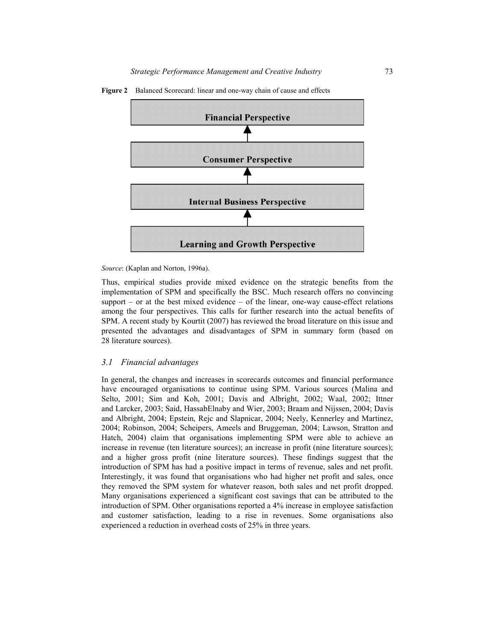

**Figure 2** Balanced Scorecard: linear and one-way chain of cause and effects

#### *Source*: (Kaplan and Norton, 1996a).

Thus, empirical studies provide mixed evidence on the strategic benefits from the implementation of SPM and specifically the BSC. Much research offers no convincing support – or at the best mixed evidence – of the linear, one-way cause-effect relations among the four perspectives. This calls for further research into the actual benefits of SPM. A recent study by Kourtit (2007) has reviewed the broad literature on this issue and presented the advantages and disadvantages of SPM in summary form (based on 28 literature sources).

#### *3.1 Financial advantages*

In general, the changes and increases in scorecards outcomes and financial performance have encouraged organisations to continue using SPM. Various sources (Malina and Selto, 2001; Sim and Koh, 2001; Davis and Albright, 2002; Waal, 2002; Ittner and Larcker, 2003; Said, HassabElnaby and Wier, 2003; Braam and Nijssen, 2004; Davis and Albright, 2004; Epstein, Rejc and Slapnicar, 2004; Neely, Kennerley and Martinez, 2004; Robinson, 2004; Scheipers, Ameels and Bruggeman, 2004; Lawson, Stratton and Hatch, 2004) claim that organisations implementing SPM were able to achieve an increase in revenue (ten literature sources); an increase in profit (nine literature sources); and a higher gross profit (nine literature sources). These findings suggest that the introduction of SPM has had a positive impact in terms of revenue, sales and net profit. Interestingly, it was found that organisations who had higher net profit and sales, once they removed the SPM system for whatever reason, both sales and net profit dropped. Many organisations experienced a significant cost savings that can be attributed to the introduction of SPM. Other organisations reported a 4% increase in employee satisfaction and customer satisfaction, leading to a rise in revenues. Some organisations also experienced a reduction in overhead costs of 25% in three years.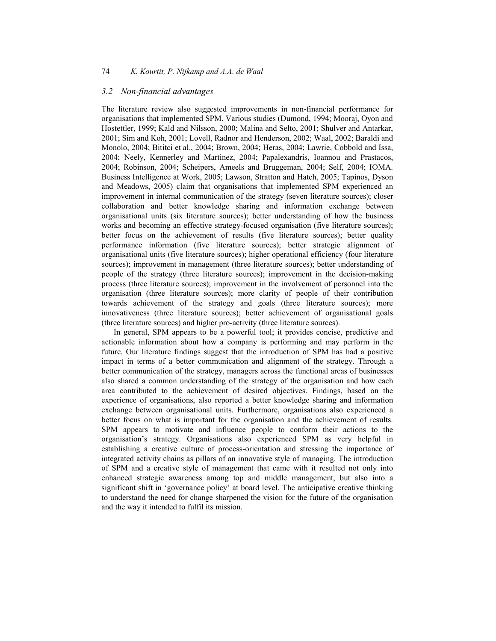#### *3.2 Non-financial advantages*

The literature review also suggested improvements in non-financial performance for organisations that implemented SPM. Various studies (Dumond, 1994; Mooraj, Oyon and Hostettler, 1999; Kald and Nilsson, 2000; Malina and Selto, 2001; Shulver and Antarkar, 2001; Sim and Koh, 2001; Lovell, Radnor and Henderson, 2002; Waal, 2002; Baraldi and Monolo, 2004; Bititci et al., 2004; Brown, 2004; Heras, 2004; Lawrie, Cobbold and Issa, 2004; Neely, Kennerley and Martinez, 2004; Papalexandris, Ioannou and Prastacos, 2004; Robinson, 2004; Scheipers, Ameels and Bruggeman, 2004; Self, 2004; IOMA. Business Intelligence at Work, 2005; Lawson, Stratton and Hatch, 2005; Tapinos, Dyson and Meadows, 2005) claim that organisations that implemented SPM experienced an improvement in internal communication of the strategy (seven literature sources); closer collaboration and better knowledge sharing and information exchange between organisational units (six literature sources); better understanding of how the business works and becoming an effective strategy-focused organisation (five literature sources); better focus on the achievement of results (five literature sources); better quality performance information (five literature sources); better strategic alignment of organisational units (five literature sources); higher operational efficiency (four literature sources); improvement in management (three literature sources); better understanding of people of the strategy (three literature sources); improvement in the decision-making process (three literature sources); improvement in the involvement of personnel into the organisation (three literature sources); more clarity of people of their contribution towards achievement of the strategy and goals (three literature sources); more innovativeness (three literature sources); better achievement of organisational goals (three literature sources) and higher pro-activity (three literature sources).

In general, SPM appears to be a powerful tool; it provides concise, predictive and actionable information about how a company is performing and may perform in the future. Our literature findings suggest that the introduction of SPM has had a positive impact in terms of a better communication and alignment of the strategy. Through a better communication of the strategy, managers across the functional areas of businesses also shared a common understanding of the strategy of the organisation and how each area contributed to the achievement of desired objectives. Findings, based on the experience of organisations, also reported a better knowledge sharing and information exchange between organisational units. Furthermore, organisations also experienced a better focus on what is important for the organisation and the achievement of results. SPM appears to motivate and influence people to conform their actions to the organisation's strategy. Organisations also experienced SPM as very helpful in establishing a creative culture of process-orientation and stressing the importance of integrated activity chains as pillars of an innovative style of managing. The introduction of SPM and a creative style of management that came with it resulted not only into enhanced strategic awareness among top and middle management, but also into a significant shift in 'governance policy' at board level. The anticipative creative thinking to understand the need for change sharpened the vision for the future of the organisation and the way it intended to fulfil its mission.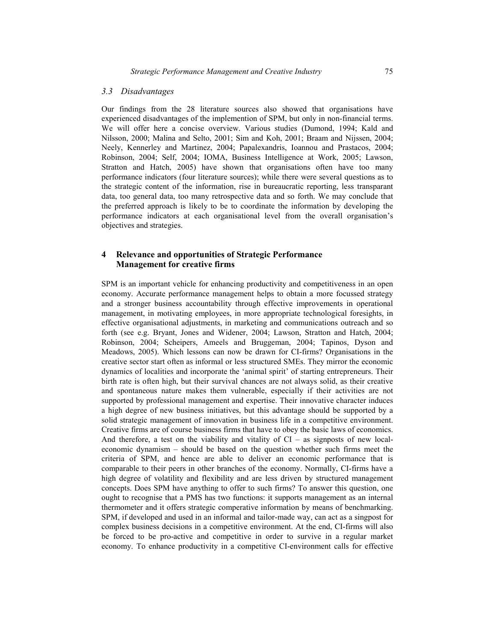#### *3.3 Disadvantages*

Our findings from the 28 literature sources also showed that organisations have experienced disadvantages of the implemention of SPM, but only in non-financial terms. We will offer here a concise overview. Various studies (Dumond, 1994; Kald and Nilsson, 2000; Malina and Selto, 2001; Sim and Koh, 2001; Braam and Nijssen, 2004; Neely, Kennerley and Martinez, 2004; Papalexandris, Ioannou and Prastacos, 2004; Robinson, 2004; Self, 2004; IOMA, Business Intelligence at Work, 2005; Lawson, Stratton and Hatch, 2005) have shown that organisations often have too many performance indicators (four literature sources); while there were several questions as to the strategic content of the information, rise in bureaucratic reporting, less transparant data, too general data, too many retrospective data and so forth. We may conclude that the preferred approach is likely to be to coordinate the information by developing the performance indicators at each organisational level from the overall organisation's objectives and strategies.

## **4 Relevance and opportunities of Strategic Performance Management for creative firms**

SPM is an important vehicle for enhancing productivity and competitiveness in an open economy. Accurate performance management helps to obtain a more focussed strategy and a stronger business accountability through effective improvements in operational management, in motivating employees, in more appropriate technological foresights, in effective organisational adjustments, in marketing and communications outreach and so forth (see e.g. Bryant, Jones and Widener, 2004; Lawson, Stratton and Hatch, 2004; Robinson, 2004; Scheipers, Ameels and Bruggeman, 2004; Tapinos, Dyson and Meadows, 2005). Which lessons can now be drawn for CI-firms? Organisations in the creative sector start often as informal or less structured SMEs. They mirror the economic dynamics of localities and incorporate the 'animal spirit' of starting entrepreneurs. Their birth rate is often high, but their survival chances are not always solid, as their creative and spontaneous nature makes them vulnerable, especially if their activities are not supported by professional management and expertise. Their innovative character induces a high degree of new business initiatives, but this advantage should be supported by a solid strategic management of innovation in business life in a competitive environment. Creative firms are of course business firms that have to obey the basic laws of economics. And therefore, a test on the viability and vitality of CI – as signposts of new localeconomic dynamism – should be based on the question whether such firms meet the criteria of SPM, and hence are able to deliver an economic performance that is comparable to their peers in other branches of the economy. Normally, CI-firms have a high degree of volatility and flexibility and are less driven by structured management concepts. Does SPM have anything to offer to such firms? To answer this question, one ought to recognise that a PMS has two functions: it supports management as an internal thermometer and it offers strategic comperative information by means of benchmarking. SPM, if developed and used in an informal and tailor-made way, can act as a singpost for complex business decisions in a competitive environment. At the end, CI-firms will also be forced to be pro-active and competitive in order to survive in a regular market economy. To enhance productivity in a competitive CI-environment calls for effective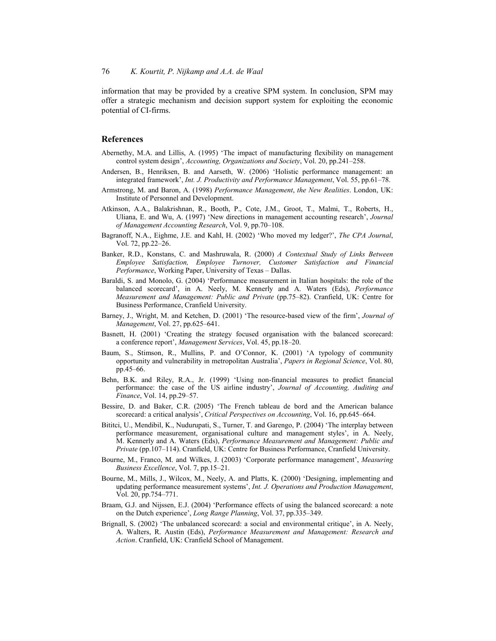information that may be provided by a creative SPM system. In conclusion, SPM may offer a strategic mechanism and decision support system for exploiting the economic potential of CI-firms.

## **References**

- Abernethy, M.A. and Lillis, A. (1995) 'The impact of manufacturing flexibility on management control system design', *Accounting, Organizations and Society*, Vol. 20, pp.241–258.
- Andersen, B., Henriksen, B. and Aarseth, W. (2006) 'Holistic performance management: an integrated framework', *Int. J. Productivity and Performance Management*, Vol. 55, pp.61–78.
- Armstrong, M. and Baron, A. (1998) *Performance Management*, *the New Realities*. London, UK: Institute of Personnel and Development.
- Atkinson, A.A., Balakrishnan, R., Booth, P., Cote, J.M., Groot, T., Malmi, T., Roberts, H., Uliana, E. and Wu, A. (1997) 'New directions in management accounting research', *Journal of Management Accounting Research*, Vol. 9, pp.70–108.
- Bagranoff, N.A., Eighme, J.E. and Kahl, H. (2002) 'Who moved my ledger?', *The CPA Journal*, Vol. 72, pp.22–26.
- Banker, R.D., Konstans, C. and Mashruwala, R. (2000) *A Contextual Study of Links Between Employee Satisfaction, Employee Turnover, Customer Satisfaction and Financial Performance*, Working Paper, University of Texas – Dallas.
- Baraldi, S. and Monolo, G. (2004) 'Performance measurement in Italian hospitals: the role of the balanced scorecard', in A. Neely, M. Kennerly and A. Waters (Eds), *Performance Measurement and Management: Public and Private* (pp.75–82). Cranfield, UK: Centre for Business Performance, Cranfield University.
- Barney, J., Wright, M. and Ketchen, D. (2001) 'The resource-based view of the firm', *Journal of Management*, Vol. 27, pp.625–641.
- Basnett, H. (2001) 'Creating the strategy focused organisation with the balanced scorecard: a conference report', *Management Services*, Vol. 45, pp.18–20.
- Baum, S., Stimson, R., Mullins, P. and O'Connor, K. (2001) 'A typology of community opportunity and vulnerability in metropolitan Australia', *Papers in Regional Science*, Vol. 80, pp.45–66.
- Behn, B.K. and Riley, R.A., Jr. (1999) 'Using non-financial measures to predict financial performance: the case of the US airline industry', *Journal of Accounting, Auditing and Finance*, Vol. 14, pp.29–57.
- Bessire, D. and Baker, C.R. (2005) 'The French tableau de bord and the American balance scorecard: a critical analysis', *Critical Perspectives on Accounting*, Vol. 16, pp.645–664.
- Bititci, U., Mendibil, K., Nudurupati, S., Turner, T. and Garengo, P. (2004) 'The interplay between performance measurement, organisational culture and management styles', in A. Neely, M. Kennerly and A. Waters (Eds), *Performance Measurement and Management: Public and Private* (pp.107–114). Cranfield, UK: Centre for Business Performance, Cranfield University.
- Bourne, M., Franco, M. and Wilkes, J. (2003) 'Corporate performance management', *Measuring Business Excellence*, Vol. 7, pp.15–21.
- Bourne, M., Mills, J., Wilcox, M., Neely, A. and Platts, K. (2000) 'Designing, implementing and updating performance measurement systems', *Int. J. Operations and Production Management*, Vol. 20, pp.754–771.
- Braam, G.J. and Nijssen, E.J. (2004) 'Performance effects of using the balanced scorecard: a note on the Dutch experience', *Long Range Planning*, Vol. 37, pp.335–349.
- Brignall, S. (2002) 'The unbalanced scorecard: a social and environmental critique', in A. Neely, A. Walters, R. Austin (Eds), *Performance Measurement and Management: Research and Action*. Cranfield, UK: Cranfield School of Management.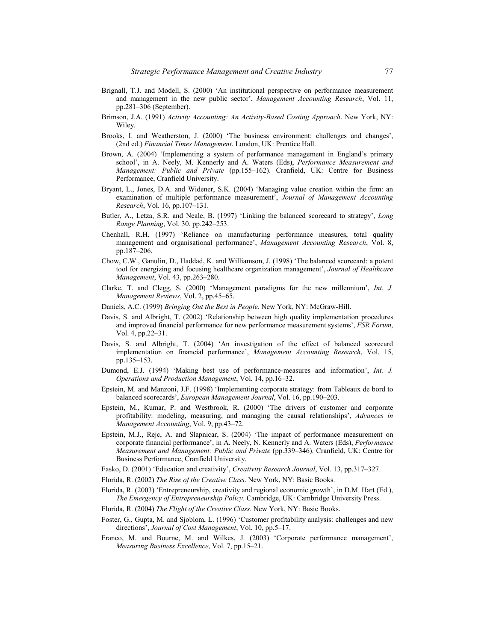- Brignall, T.J. and Modell, S. (2000) 'An institutional perspective on performance measurement and management in the new public sector', *Management Accounting Research*, Vol. 11, pp.281–306 (September).
- Brimson, J.A. (1991) *Activity Accounting: An Activity-Based Costing Approach*. New York, NY: Wiley.
- Brooks, I. and Weatherston, J. (2000) 'The business environment: challenges and changes', (2nd ed.) *Financial Times Management*. London, UK: Prentice Hall.
- Brown, A. (2004) 'Implementing a system of performance management in England's primary school', in A. Neely, M. Kennerly and A. Waters (Eds), *Performance Measurement and Management: Public and Private* (pp.155–162). Cranfield, UK: Centre for Business Performance, Cranfield University.
- Bryant, L., Jones, D.A. and Widener, S.K. (2004) 'Managing value creation within the firm: an examination of multiple performance measurement', *Journal of Management Accounting Research*, Vol. 16, pp.107–131.
- Butler, A., Letza, S.R. and Neale, B. (1997) 'Linking the balanced scorecard to strategy', *Long Range Planning*, Vol. 30, pp.242–253.
- Chenhall, R.H. (1997) 'Reliance on manufacturing performance measures, total quality management and organisational performance', *Management Accounting Research*, Vol. 8, pp.187–206.
- Chow, C.W., Ganulin, D., Haddad, K. and Williamson, J. (1998) 'The balanced scorecard: a potent tool for energizing and focusing healthcare organization management', *Journal of Healthcare Management*, Vol. 43, pp.263–280.
- Clarke, T. and Clegg, S. (2000) 'Management paradigms for the new millennium', *Int. J. Management Reviews*, Vol. 2, pp.45–65.
- Daniels, A.C. (1999) *Bringing Out the Best in People*. New York, NY: McGraw-Hill.
- Davis, S. and Albright, T. (2002) 'Relationship between high quality implementation procedures and improved financial performance for new performance measurement systems', *FSR Forum*, Vol. 4, pp.22–31.
- Davis, S. and Albright, T. (2004) 'An investigation of the effect of balanced scorecard implementation on financial performance', *Management Accounting Research*, Vol. 15, pp.135–153.
- Dumond, E.J. (1994) 'Making best use of performance-measures and information', *Int. J. Operations and Production Management*, Vol. 14, pp.16–32.
- Epstein, M. and Manzoni, J.F. (1998) 'Implementing corporate strategy: from Tableaux de bord to balanced scorecards', *European Management Journal*, Vol. 16, pp.190–203.
- Epstein, M., Kumar, P. and Westbrook, R. (2000) 'The drivers of customer and corporate profitability: modeling, measuring, and managing the causal relationships', *Advances in Management Accounting*, Vol. 9, pp.43–72.
- Epstein, M.J., Rejc, A. and Slapnicar, S. (2004) 'The impact of performance measurement on corporate financial performance', in A. Neely, N. Kennerly and A. Waters (Eds), *Performance Measurement and Management: Public and Private* (pp.339–346). Cranfield, UK: Centre for Business Performance, Cranfield University.
- Fasko, D. (2001) 'Education and creativity', *Creativity Research Journal*, Vol. 13, pp.317–327.
- Florida, R. (2002) *The Rise of the Creative Class*. New York, NY: Basic Books.
- Florida, R. (2003) 'Entrepreneurship, creativity and regional economic growth', in D.M. Hart (Ed.), *The Emergency of Entrepreneurship Policy*. Cambridge, UK: Cambridge University Press.
- Florida, R. (2004) *The Flight of the Creative Class*. New York, NY: Basic Books.
- Foster, G., Gupta, M. and Sjoblom, L. (1996) 'Customer profitability analysis: challenges and new directions', *Journal of Cost Management*, Vol. 10, pp.5–17.
- Franco, M. and Bourne, M. and Wilkes, J. (2003) 'Corporate performance management', *Measuring Business Excellence*, Vol. 7, pp.15–21.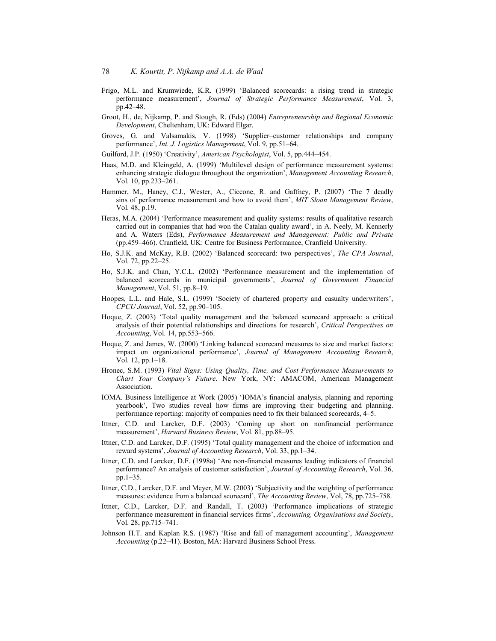- Frigo, M.L. and Krumwiede, K.R. (1999) 'Balanced scorecards: a rising trend in strategic performance measurement', *Journal of Strategic Performance Measurement*, Vol. 3, pp.42–48.
- Groot, H., de, Nijkamp, P. and Stough, R. (Eds) (2004) *Entrepreneurship and Regional Economic Development*, Cheltenham, UK: Edward Elgar.
- Groves, G. and Valsamakis, V. (1998) 'Supplier–customer relationships and company performance', *Int. J. Logistics Management*, Vol. 9, pp.51–64.
- Guilford, J.P. (1950) 'Creativity', *American Psychologist*, Vol. 5, pp.444–454.
- Haas, M.D. and Kleingeld, A. (1999) 'Multilevel design of performance measurement systems: enhancing strategic dialogue throughout the organization', *Management Accounting Research*, Vol. 10, pp.233–261.
- Hammer, M., Haney, C.J., Wester, A., Ciccone, R. and Gaffney, P. (2007) 'The 7 deadly sins of performance measurement and how to avoid them', *MIT Sloan Management Review*, Vol. 48, p.19.
- Heras, M.A. (2004) 'Performance measurement and quality systems: results of qualitative research carried out in companies that had won the Catalan quality award', in A. Neely, M. Kennerly and A. Waters (Eds), *Performance Measurement and Management: Public and Private* (pp.459–466). Cranfield, UK: Centre for Business Performance, Cranfield University.
- Ho, S.J.K. and McKay, R.B. (2002) 'Balanced scorecard: two perspectives', *The CPA Journal*, Vol. 72, pp.22–25.
- Ho, S.J.K. and Chan, Y.C.L. (2002) 'Performance measurement and the implementation of balanced scorecards in municipal governments', *Journal of Government Financial Management*, Vol. 51, pp.8–19.
- Hoopes, L.L. and Hale, S.L. (1999) 'Society of chartered property and casualty underwriters', *CPCU Journal*, Vol. 52, pp.90–105.
- Hoque, Z. (2003) 'Total quality management and the balanced scorecard approach: a critical analysis of their potential relationships and directions for research', *Critical Perspectives on Accounting*, Vol. 14, pp.553–566.
- Hoque, Z. and James, W. (2000) 'Linking balanced scorecard measures to size and market factors: impact on organizational performance', *Journal of Management Accounting Research*, Vol. 12, pp.1–18.
- Hronec, S.M. (1993) *Vital Signs: Using Quality, Time, and Cost Performance Measurements to Chart Your Company's Future*. New York, NY: AMACOM, American Management Association.
- IOMA. Business Intelligence at Work (2005) 'IOMA's financial analysis, planning and reporting yearbook', Two studies reveal how firms are improving their budgeting and planning. performance reporting: majority of companies need to fix their balanced scorecards, 4–5.
- Ittner, C.D. and Larcker, D.F. (2003) 'Coming up short on nonfinancial performance measurement', *Harvard Business Review*, Vol. 81, pp.88–95.
- Ittner, C.D. and Larcker, D.F. (1995) 'Total quality management and the choice of information and reward systems', *Journal of Accounting Research*, Vol. 33, pp.1–34.
- Ittner, C.D. and Larcker, D.F. (1998a) 'Are non-financial measures leading indicators of financial performance? An analysis of customer satisfaction', *Journal of Accounting Research*, Vol. 36, pp.1–35.
- Ittner, C.D., Larcker, D.F. and Meyer, M.W. (2003) 'Subjectivity and the weighting of performance measures: evidence from a balanced scorecard', *The Accounting Review*, Vol, 78, pp.725–758.
- Ittner, C.D., Larcker, D.F. and Randall, T. (2003) 'Performance implications of strategic performance measurement in financial services firms', *Accounting, Organisations and Society*, Vol. 28, pp.715–741.
- Johnson H.T. and Kaplan R.S. (1987) 'Rise and fall of management accounting', *Management Accounting* (p.22–41). Boston, MA: Harvard Business School Press.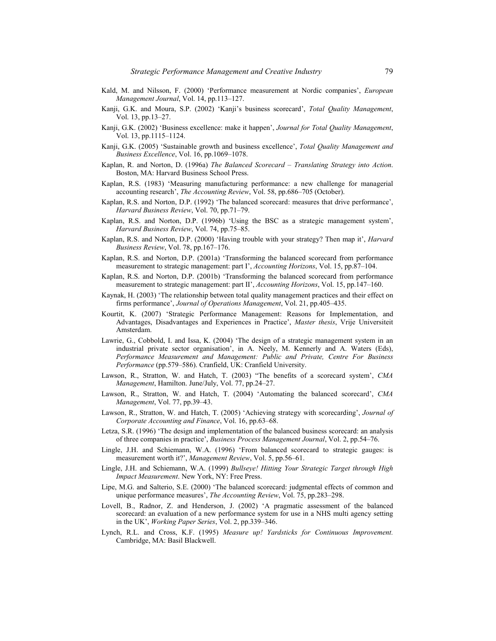- Kald, M. and Nilsson, F. (2000) 'Performance measurement at Nordic companies', *European Management Journal*, Vol. 14, pp.113–127.
- Kanji, G.K. and Moura, S.P. (2002) 'Kanji's business scorecard', *Total Quality Management*, Vol. 13, pp.13–27.
- Kanji, G.K. (2002) 'Business excellence: make it happen', *Journal for Total Quality Management*, Vol. 13, pp.1115–1124.
- Kanji, G.K. (2005) 'Sustainable growth and business excellence', *Total Quality Management and Business Excellence*, Vol. 16, pp.1069–1078.
- Kaplan, R. and Norton, D. (1996a) *The Balanced Scorecard Translating Strategy into Action*. Boston, MA: Harvard Business School Press.
- Kaplan, R.S. (1983) 'Measuring manufacturing performance: a new challenge for managerial accounting research', *The Accounting Review*, Vol. 58, pp.686–705 (October).
- Kaplan, R.S. and Norton, D.P. (1992) 'The balanced scorecard: measures that drive performance', *Harvard Business Review*, Vol. 70, pp.71–79.
- Kaplan, R.S. and Norton, D.P. (1996b) 'Using the BSC as a strategic management system', *Harvard Business Review*, Vol. 74, pp.75–85.
- Kaplan, R.S. and Norton, D.P. (2000) 'Having trouble with your strategy? Then map it', *Harvard Business Review*, Vol. 78, pp.167–176.
- Kaplan, R.S. and Norton, D.P. (2001a) 'Transforming the balanced scorecard from performance measurement to strategic management: part I', *Accounting Horizons*, Vol. 15, pp.87–104.
- Kaplan, R.S. and Norton, D.P. (2001b) 'Transforming the balanced scorecard from performance measurement to strategic management: part II', *Accounting Horizons*, Vol. 15, pp.147–160.
- Kaynak, H. (2003) 'The relationship between total quality management practices and their effect on firms performance', *Journal of Operations Management*, Vol. 21, pp.405–435.
- Kourtit, K. (2007) 'Strategic Performance Management: Reasons for Implementation, and Advantages, Disadvantages and Experiences in Practice', *Master thesis*, Vrije Universiteit Amsterdam.
- Lawrie, G., Cobbold, I. and Issa, K. (2004) 'The design of a strategic management system in an industrial private sector organisation', in A. Neely, M. Kennerly and A. Waters (Eds), *Performance Measurement and Management: Public and Private, Centre For Business Performance* (pp.579–586). Cranfield, UK: Cranfield University.
- Lawson, R., Stratton, W. and Hatch, T. (2003) "The benefits of a scorecard system', *CMA Management*, Hamilton. June/July, Vol. 77, pp.24–27.
- Lawson, R., Stratton, W. and Hatch, T. (2004) 'Automating the balanced scorecard', *CMA Management*, Vol. 77, pp.39–43.
- Lawson, R., Stratton, W. and Hatch, T. (2005) 'Achieving strategy with scorecarding', *Journal of Corporate Accounting and Finance*, Vol. 16, pp.63–68.
- Letza, S.R. (1996) 'The design and implementation of the balanced business scorecard: an analysis of three companies in practice', *Business Process Management Journal*, Vol. 2, pp.54–76.
- Lingle, J.H. and Schiemann, W.A. (1996) 'From balanced scorecard to strategic gauges: is measurement worth it?', *Management Review*, Vol. 5, pp.56–61.
- Lingle, J.H. and Schiemann, W.A. (1999) *Bullseye! Hitting Your Strategic Target through High Impact Measurement*. New York, NY: Free Press.
- Lipe, M.G. and Salterio, S.E. (2000) 'The balanced scorecard: judgmental effects of common and unique performance measures', *The Accounting Review*, Vol. 75, pp.283–298.
- Lovell, B., Radnor, Z. and Henderson, J. (2002) 'A pragmatic assessment of the balanced scorecard: an evaluation of a new performance system for use in a NHS multi agency setting in the UK', *Working Paper Series*, Vol. 2, pp.339–346.
- Lynch, R.L. and Cross, K.F. (1995) *Measure up! Yardsticks for Continuous Improvement.*  Cambridge, MA: Basil Blackwell.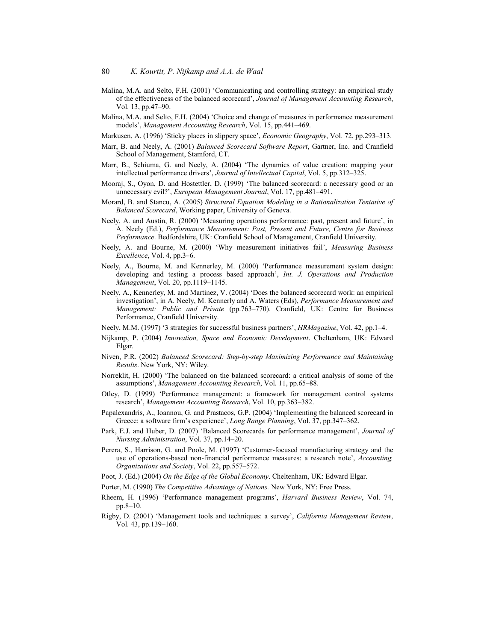- Malina, M.A. and Selto, F.H. (2001) 'Communicating and controlling strategy: an empirical study of the effectiveness of the balanced scorecard', *Journal of Management Accounting Research*, Vol. 13, pp.47–90.
- Malina, M.A. and Selto, F.H. (2004) 'Choice and change of measures in performance measurement models', *Management Accounting Research*, Vol. 15, pp.441–469.
- Markusen, A. (1996) 'Sticky places in slippery space', *Economic Geography*, Vol. 72, pp.293–313.
- Marr, B. and Neely, A. (2001) *Balanced Scorecard Software Report*, Gartner, Inc. and Cranfield School of Management, Stamford, CT.
- Marr, B., Schiuma, G. and Neely, A. (2004) 'The dynamics of value creation: mapping your intellectual performance drivers', *Journal of Intellectual Capital*, Vol. 5, pp.312–325.
- Mooraj, S., Oyon, D. and Hostettler, D. (1999) 'The balanced scorecard: a necessary good or an unnecessary evil?', *European Management Journal*, Vol. 17, pp.481–491.
- Morard, B. and Stancu, A. (2005) *Structural Equation Modeling in a Rationalization Tentative of Balanced Scorecard*, Working paper, University of Geneva.
- Neely, A. and Austin, R. (2000) 'Measuring operations performance: past, present and future', in A. Neely (Ed.), *Performance Measurement: Past, Present and Future, Centre for Business Performance*. Bedfordshire, UK: Cranfield School of Management, Cranfield University.
- Neely, A. and Bourne, M. (2000) 'Why measurement initiatives fail', *Measuring Business Excellence*, Vol. 4, pp.3–6.
- Neely, A., Bourne, M. and Kennerley, M. (2000) 'Performance measurement system design: developing and testing a process based approach', *Int. J. Operations and Production Management*, Vol. 20, pp.1119–1145.
- Neely, A., Kennerley, M. and Martinez, V. (2004) 'Does the balanced scorecard work: an empirical investigation', in A. Neely, M. Kennerly and A. Waters (Eds), *Performance Measurement and Management: Public and Private* (pp.763–770). Cranfield, UK: Centre for Business Performance, Cranfield University.
- Neely, M.M. (1997) '3 strategies for successful business partners', *HRMagazine*, Vol. 42, pp.1–4.
- Nijkamp, P. (2004) *Innovation, Space and Economic Development*. Cheltenham, UK: Edward Elgar.
- Niven, P.R. (2002) *Balanced Scorecard: Step-by-step Maximizing Performance and Maintaining Results*. New York, NY: Wiley.
- Norreklit, H. (2000) 'The balanced on the balanced scorecard: a critical analysis of some of the assumptions', *Management Accounting Research*, Vol. 11, pp.65–88.
- Otley, D. (1999) 'Performance management: a framework for management control systems research', *Management Accounting Research*, Vol. 10, pp.363–382.
- Papalexandris, A., Ioannou, G. and Prastacos, G.P. (2004) 'Implementing the balanced scorecard in Greece: a software firm's experience', *Long Range Planning*, Vol. 37, pp.347–362.
- Park, E.J. and Huber, D. (2007) 'Balanced Scorecards for performance management', *Journal of Nursing Administration*, Vol. 37, pp.14–20.
- Perera, S., Harrison, G. and Poole, M. (1997) 'Customer-focused manufacturing strategy and the use of operations-based non-financial performance measures: a research note', *Accounting, Organizations and Society*, Vol. 22, pp.557–572.
- Poot, J. (Ed.) (2004) *On the Edge of the Global Economy*. Cheltenham, UK: Edward Elgar.
- Porter, M. (1990) *The Competitive Advantage of Nations.* New York, NY: Free Press.
- Rheem, H. (1996) 'Performance management programs', *Harvard Business Review*, Vol. 74, pp.8–10.
- Rigby, D. (2001) 'Management tools and techniques: a survey', *California Management Review*, Vol. 43, pp.139–160.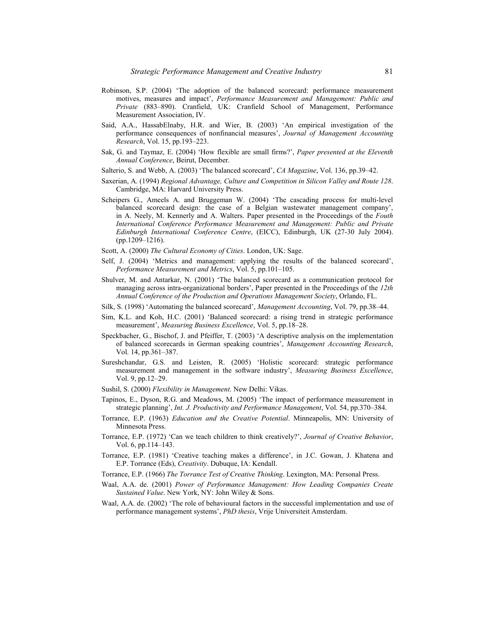- Robinson, S.P. (2004) 'The adoption of the balanced scorecard: performance measurement motives, measures and impact', *Performance Measurement and Management: Public and Private* (883–890). Cranfield, UK: Cranfield School of Management, Performance Measurement Association, IV.
- Said, A.A., HassabElnaby, H.R. and Wier, B. (2003) 'An empirical investigation of the performance consequences of nonfinancial measures', *Journal of Management Accounting Research*, Vol. 15, pp.193–223.
- Sak, G. and Taymaz, E. (2004) 'How flexible are small firms?', *Paper presented at the Eleventh Annual Conference*, Beirut, December.
- Salterio, S. and Webb, A. (2003) 'The balanced scorecard', *CA Magazine*, Vol. 136, pp.39–42.
- Saxerian, A. (1994) *Regional Advantage, Culture and Competition in Silicon Valley and Route 128*. Cambridge, MA: Harvard University Press.
- Scheipers G., Ameels A. and Bruggeman W. (2004) 'The cascading process for multi-level balanced scorecard design: the case of a Belgian wastewater management company', in A. Neely, M. Kennerly and A. Walters. Paper presented in the Proceedings of the *Fouth International Conference Performance Measurement and Management: Public and Private Edinburgh International Conference Centre*, (EICC), Edinburgh, UK (27-30 July 2004). (pp.1209–1216).
- Scott, A. (2000) *The Cultural Economy of Cities*. London, UK: Sage.
- Self, J. (2004) 'Metrics and management: applying the results of the balanced scorecard', *Performance Measurement and Metrics*, Vol. 5, pp.101–105.
- Shulver, M. and Antarkar, N. (2001) 'The balanced scorecard as a communication protocol for managing across intra-organizational borders', Paper presented in the Proceedings of the *12th Annual Conference of the Production and Operations Management Society*, Orlando, FL.
- Silk, S. (1998) 'Automating the balanced scorecard', *Management Accounting*, Vol. 79, pp.38–44.
- Sim, K.L. and Koh, H.C. (2001) 'Balanced scorecard: a rising trend in strategic performance measurement', *Measuring Business Excellence*, Vol. 5, pp.18–28.
- Speckbacher, G., Bischof, J. and Pfeiffer, T. (2003) 'A descriptive analysis on the implementation of balanced scorecards in German speaking countries', *Management Accounting Research*, Vol. 14, pp.361–387.
- Sureshchandar, G.S. and Leisten, R. (2005) 'Holistic scorecard: strategic performance measurement and management in the software industry', *Measuring Business Excellence*, Vol. 9, pp.12–29.
- Sushil, S. (2000) *Flexibility in Management*. New Delhi: Vikas.
- Tapinos, E., Dyson, R.G. and Meadows, M. (2005) 'The impact of performance measurement in strategic planning', *Int. J. Productivity and Performance Management*, Vol. 54, pp.370–384.
- Torrance, E.P. (1963) *Education and the Creative Potential*. Minneapolis, MN: University of Minnesota Press.
- Torrance, E.P. (1972) 'Can we teach children to think creatively?', *Journal of Creative Behavior*, Vol. 6, pp.114–143.
- Torrance, E.P. (1981) 'Creative teaching makes a difference', in J.C. Gowan, J. Khatena and E.P. Torrance (Eds), *Creativity*. Dubuque, IA: Kendall.
- Torrance, E.P. (1966) *The Torrance Test of Creative Thinking*. Lexington, MA: Personal Press.
- Waal, A.A. de. (2001) *Power of Performance Management: How Leading Companies Create Sustained Value*. New York, NY: John Wiley & Sons.
- Waal, A.A. de. (2002) 'The role of behavioural factors in the successful implementation and use of performance management systems', *PhD thesis*, Vrije Universiteit Amsterdam.